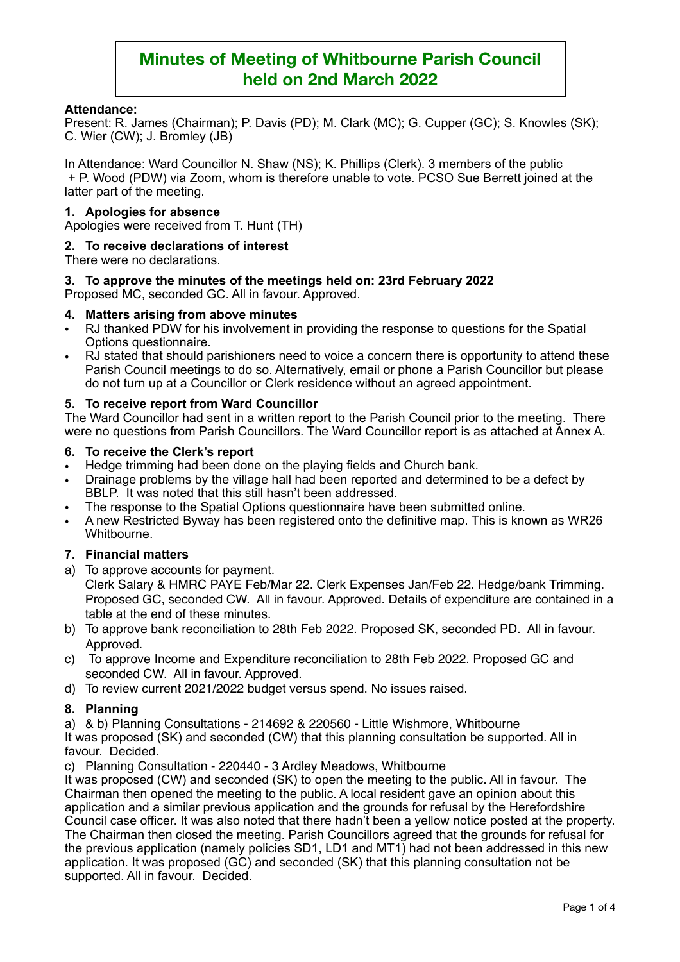## **Attendance:**

Present: R. James (Chairman); P. Davis (PD); M. Clark (MC); G. Cupper (GC); S. Knowles (SK); C. Wier (CW); J. Bromley (JB)

In Attendance: Ward Councillor N. Shaw (NS); K. Phillips (Clerk). 3 members of the public + P. Wood (PDW) via Zoom, whom is therefore unable to vote. PCSO Sue Berrett joined at the latter part of the meeting.

## **1. Apologies for absence**

Apologies were received from T. Hunt (TH)

## **2. To receive declarations of interest**

There were no declarations.

## **3. To approve the minutes of the meetings held on: 23rd February 2022**

Proposed MC, seconded GC. All in favour. Approved.

#### **4. Matters arising from above minutes**

- RJ thanked PDW for his involvement in providing the response to questions for the Spatial Options questionnaire.
- RJ stated that should parishioners need to voice a concern there is opportunity to attend these Parish Council meetings to do so. Alternatively, email or phone a Parish Councillor but please do not turn up at a Councillor or Clerk residence without an agreed appointment.

## **5. To receive report from Ward Councillor**

The Ward Councillor had sent in a written report to the Parish Council prior to the meeting. There were no questions from Parish Councillors. The Ward Councillor report is as attached at Annex A.

#### **6. To receive the Clerk's report**

- Hedge trimming had been done on the playing fields and Church bank.
- Drainage problems by the village hall had been reported and determined to be a defect by BBLP. It was noted that this still hasn't been addressed.
- The response to the Spatial Options questionnaire have been submitted online.
- A new Restricted Byway has been registered onto the definitive map. This is known as WR26 Whitbourne.

#### **7. Financial matters**

- a) To approve accounts for payment. Clerk Salary & HMRC PAYE Feb/Mar 22. Clerk Expenses Jan/Feb 22. Hedge/bank Trimming. Proposed GC, seconded CW. All in favour. Approved. Details of expenditure are contained in a table at the end of these minutes.
- b) To approve bank reconciliation to 28th Feb 2022. Proposed SK, seconded PD. All in favour. Approved.
- c) To approve Income and Expenditure reconciliation to 28th Feb 2022. Proposed GC and seconded CW. All in favour. Approved.
- d) To review current 2021/2022 budget versus spend. No issues raised.

## **8. Planning**

a) & b) Planning Consultations - 214692 & 220560 - Little Wishmore, Whitbourne

It was proposed (SK) and seconded (CW) that this planning consultation be supported. All in favour. Decided.

c) Planning Consultation - 220440 - 3 Ardley Meadows, Whitbourne

It was proposed (CW) and seconded (SK) to open the meeting to the public. All in favour. The Chairman then opened the meeting to the public. A local resident gave an opinion about this application and a similar previous application and the grounds for refusal by the Herefordshire Council case officer. It was also noted that there hadn't been a yellow notice posted at the property. The Chairman then closed the meeting. Parish Councillors agreed that the grounds for refusal for the previous application (namely policies SD1, LD1 and MT1) had not been addressed in this new application. It was proposed (GC) and seconded (SK) that this planning consultation not be supported. All in favour. Decided.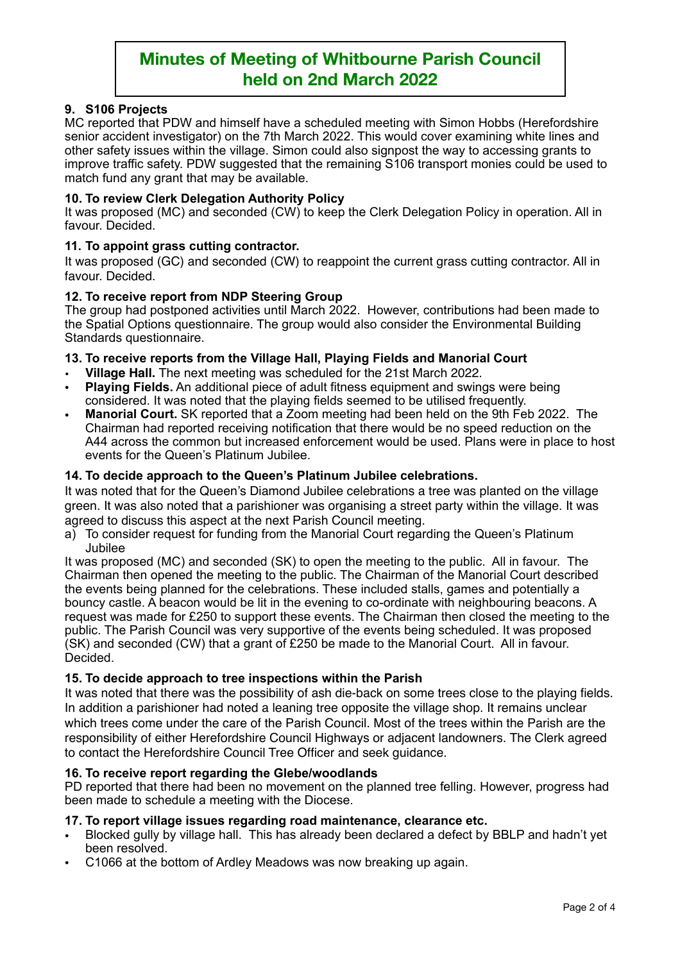## **9. S106 Projects**

MC reported that PDW and himself have a scheduled meeting with Simon Hobbs (Herefordshire senior accident investigator) on the 7th March 2022. This would cover examining white lines and other safety issues within the village. Simon could also signpost the way to accessing grants to improve traffic safety. PDW suggested that the remaining S106 transport monies could be used to match fund any grant that may be available.

## **10. To review Clerk Delegation Authority Policy**

It was proposed (MC) and seconded (CW) to keep the Clerk Delegation Policy in operation. All in favour. Decided.

## **11. To appoint grass cutting contractor.**

It was proposed (GC) and seconded (CW) to reappoint the current grass cutting contractor. All in favour. Decided.

## **12. To receive report from NDP Steering Group**

The group had postponed activities until March 2022. However, contributions had been made to the Spatial Options questionnaire. The group would also consider the Environmental Building Standards questionnaire.

## **13. To receive reports from the Village Hall, Playing Fields and Manorial Court**

- **Village Hall.** The next meeting was scheduled for the 21st March 2022.
- **Playing Fields.** An additional piece of adult fitness equipment and swings were being considered. It was noted that the playing fields seemed to be utilised frequently.
- **Manorial Court.** SK reported that a Zoom meeting had been held on the 9th Feb 2022. The Chairman had reported receiving notification that there would be no speed reduction on the A44 across the common but increased enforcement would be used. Plans were in place to host events for the Queen's Platinum Jubilee.

## **14. To decide approach to the Queen's Platinum Jubilee celebrations.**

It was noted that for the Queen's Diamond Jubilee celebrations a tree was planted on the village green. It was also noted that a parishioner was organising a street party within the village. It was agreed to discuss this aspect at the next Parish Council meeting.

a) To consider request for funding from the Manorial Court regarding the Queen's Platinum Jubilee

It was proposed (MC) and seconded (SK) to open the meeting to the public. All in favour. The Chairman then opened the meeting to the public. The Chairman of the Manorial Court described the events being planned for the celebrations. These included stalls, games and potentially a bouncy castle. A beacon would be lit in the evening to co-ordinate with neighbouring beacons. A request was made for £250 to support these events. The Chairman then closed the meeting to the public. The Parish Council was very supportive of the events being scheduled. It was proposed (SK) and seconded (CW) that a grant of £250 be made to the Manorial Court. All in favour. Decided.

#### **15. To decide approach to tree inspections within the Parish**

It was noted that there was the possibility of ash die-back on some trees close to the playing fields. In addition a parishioner had noted a leaning tree opposite the village shop. It remains unclear which trees come under the care of the Parish Council. Most of the trees within the Parish are the responsibility of either Herefordshire Council Highways or adjacent landowners. The Clerk agreed to contact the Herefordshire Council Tree Officer and seek guidance.

#### **16. To receive report regarding the Glebe/woodlands**

PD reported that there had been no movement on the planned tree felling. However, progress had been made to schedule a meeting with the Diocese.

#### **17. To report village issues regarding road maintenance, clearance etc.**

- Blocked gully by village hall. This has already been declared a defect by BBLP and hadn't yet been resolved.
- C1066 at the bottom of Ardley Meadows was now breaking up again.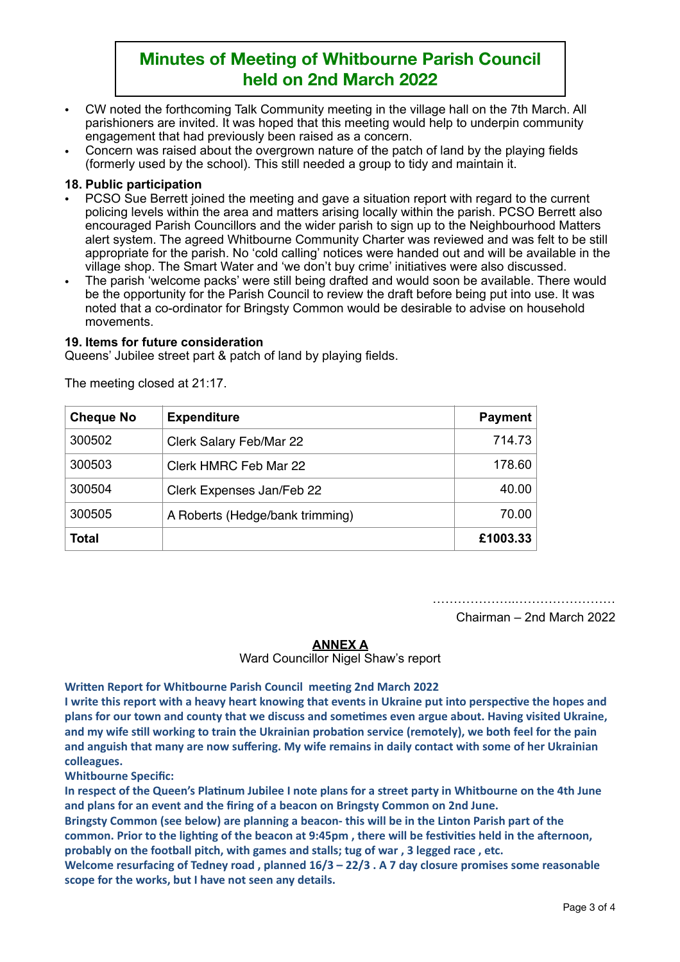- CW noted the forthcoming Talk Community meeting in the village hall on the 7th March. All parishioners are invited. It was hoped that this meeting would help to underpin community engagement that had previously been raised as a concern.
- Concern was raised about the overgrown nature of the patch of land by the playing fields (formerly used by the school). This still needed a group to tidy and maintain it.

## **18. Public participation**

- PCSO Sue Berrett joined the meeting and gave a situation report with regard to the current policing levels within the area and matters arising locally within the parish. PCSO Berrett also encouraged Parish Councillors and the wider parish to sign up to the Neighbourhood Matters alert system. The agreed Whitbourne Community Charter was reviewed and was felt to be still appropriate for the parish. No 'cold calling' notices were handed out and will be available in the village shop. The Smart Water and 'we don't buy crime' initiatives were also discussed.
- The parish 'welcome packs' were still being drafted and would soon be available. There would be the opportunity for the Parish Council to review the draft before being put into use. It was noted that a co-ordinator for Bringsty Common would be desirable to advise on household movements.

#### **19. Items for future consideration**

Queens' Jubilee street part & patch of land by playing fields.

| <b>Cheque No</b> | <b>Expenditure</b>              | <b>Payment</b> |
|------------------|---------------------------------|----------------|
| 300502           | Clerk Salary Feb/Mar 22         | 714.73         |
| 300503           | Clerk HMRC Feb Mar 22           | 178.60         |
| 300504           | Clerk Expenses Jan/Feb 22       | 40.00          |
| 300505           | A Roberts (Hedge/bank trimming) | 70.00          |
| <b>Total</b>     |                                 | £1003.33       |

The meeting closed at 21:17.

………………..……………………

Chairman – 2nd March 2022

#### **ANNEX A**

Ward Councillor Nigel Shaw's report

**Written Report for Whitbourne Parish Council meeting 2nd March 2022** 

I write this report with a heavy heart knowing that events in Ukraine put into perspective the hopes and plans for our town and county that we discuss and sometimes even argue about. Having visited Ukraine, and my wife still working to train the Ukrainian probation service (remotely), we both feel for the pain and anguish that many are now suffering. My wife remains in daily contact with some of her Ukrainian **colleagues.** 

**Whitbourne Specific:**

In respect of the Queen's Platinum Jubilee I note plans for a street party in Whitbourne on the 4th June and plans for an event and the firing of a beacon on Bringsty Common on 2nd June.

Bringsty Common (see below) are planning a beacon- this will be in the Linton Parish part of the common. Prior to the lighting of the beacon at 9:45pm, there will be festivities held in the afternoon, probably on the football pitch, with games and stalls; tug of war, 3 legged race, etc.

Welcome resurfacing of Tedney road, planned  $16/3 - 22/3$ . A 7 day closure promises some reasonable scope for the works, but I have not seen any details.